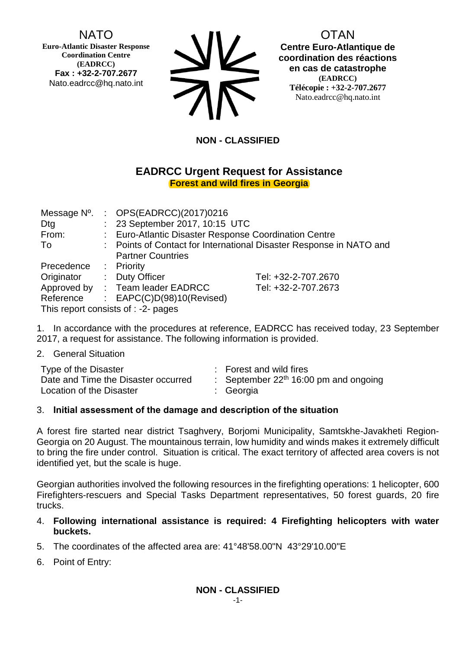# NATO

**Euro-Atlantic Disaster Response Coordination Centre (EADRCC) Fax : +32-2-707.2677** Nato.eadrcc@hq.nato.int

| <b>SIV</b> |
|------------|
| <b>712</b> |

OTAN **Centre Euro-Atlantique de coordination des réactions en cas de catastrophe (EADRCC) Télécopie : +32-2-707.2677** Nato.eadrcc@hq.nato.int

## **NON - CLASSIFIED**

### **EADRCC Urgent Request for Assistance Forest and wild fires in Georgia**

| Message N°.                                                               |  | : $OPS(EADRCC)(2017)0216$                             |                     |  |
|---------------------------------------------------------------------------|--|-------------------------------------------------------|---------------------|--|
| Dtg                                                                       |  | : 23 September 2017, 10:15 UTC                        |                     |  |
| From:                                                                     |  | : Euro-Atlantic Disaster Response Coordination Centre |                     |  |
| : Points of Contact for International Disaster Response in NATO and<br>To |  |                                                       |                     |  |
|                                                                           |  | <b>Partner Countries</b>                              |                     |  |
| Precedence                                                                |  | : Priority                                            |                     |  |
| Originator                                                                |  | : Duty Officer                                        | Tel: +32-2-707.2670 |  |
|                                                                           |  | Approved by : Team leader EADRCC                      | Tel: +32-2-707.2673 |  |
| Reference                                                                 |  | : $EAPC(C)D(98)10(Revised)$                           |                     |  |
|                                                                           |  | This report consists of : -2- pages                   |                     |  |

1. In accordance with the procedures at reference, EADRCC has received today, 23 September 2017, a request for assistance. The following information is provided.

2. General Situation

| Type of the Disaster                | : Forest and wild fires                 |  |
|-------------------------------------|-----------------------------------------|--|
| Date and Time the Disaster occurred | : September $22th$ 16:00 pm and ongoing |  |
| Location of the Disaster            | : Georgia                               |  |

### 3. **Initial assessment of the damage and description of the situation**

A forest fire started near district Tsaghvery, Borjomi Municipality, Samtskhe-Javakheti Region-Georgia on 20 August. The mountainous terrain, low humidity and winds makes it extremely difficult to bring the fire under control. Situation is critical. The exact territory of affected area covers is not identified yet, but the scale is huge.

Georgian authorities involved the following resources in the firefighting operations: 1 helicopter, 600 Firefighters-rescuers and Special Tasks Department representatives, 50 forest guards, 20 fire trucks.

- 4. **Following international assistance is required: 4 Firefighting helicopters with water buckets.**
- 5. The coordinates of the affected area are: 41°48'58.00"N 43°29'10.00"E
- 6. Point of Entry: